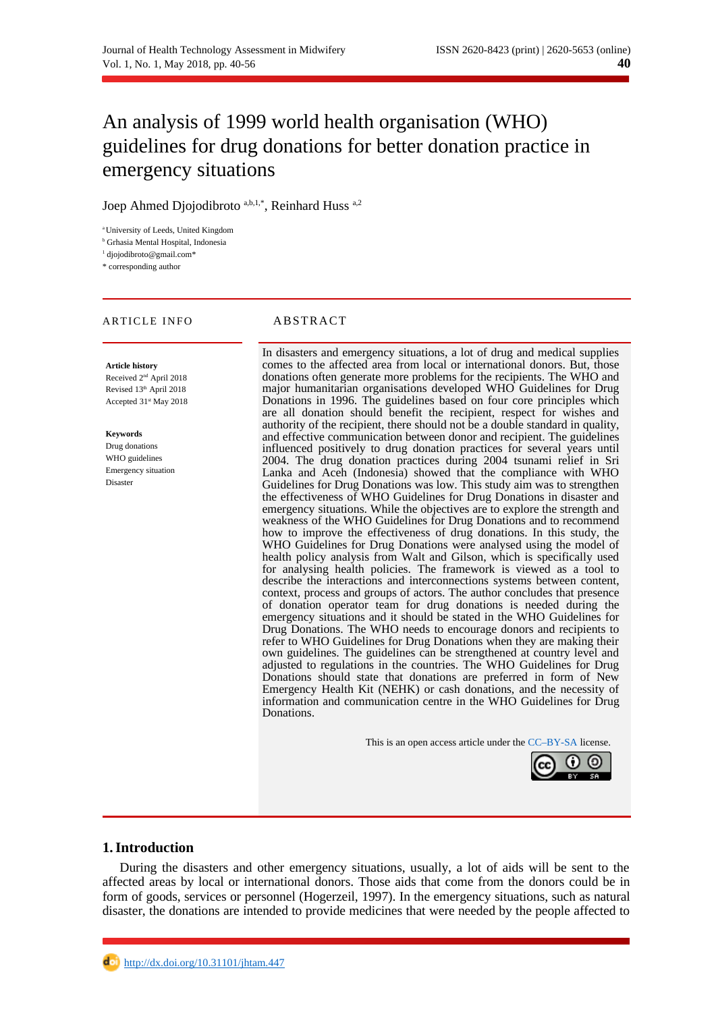# An analysis of 1999 world health organisation (WHO) guidelines for drug donations for better donation practice in emergency situations

Joep Ahmed Diojodibroto  $a,b,1,*$ , Reinhard Huss  $a,2$ 

<sup>a</sup> University of Leeds, United Kingdom

**b** Grhasia Mental Hospital, Indonesia

<sup>1</sup> djojodibroto@gmail.com\*

\* corresponding author

#### ARTICLE INFO ABSTRACT

**Article history** Received 2nd April 2018 Revised 13<sup>th</sup> April 2018 Accepted 31<sup>st</sup> May 2018

**Keywords**

Drug donations WHO guidelines Emergency situation Disaster

In disasters and emergency situations, a lot of drug and medical supplies comes to the affected area from local or international donors. But, those donations often generate more problems for the recipients. The WHO and major humanitarian organisations developed WHO Guidelines for Drug Donations in 1996. The guidelines based on four core principles which are all donation should benefit the recipient, respect for wishes and authority of the recipient, there should not be a double standard in quality, and effective communication between donor and recipient. The guidelines influenced positively to drug donation practices for several years until 2004. The drug donation practices during 2004 tsunami relief in Sri Lanka and Aceh (Indonesia) showed that the compliance with WHO Guidelines for Drug Donations was low. This study aim was to strengthen the effectiveness of WHO Guidelines for Drug Donations in disaster and emergency situations. While the objectives are to explore the strength and weakness of the WHO Guidelines for Drug Donations and to recommend how to improve the effectiveness of drug donations. In this study, the WHO Guidelines for Drug Donations were analysed using the model of health policy analysis from Walt and Gilson, which is specifically used for analysing health policies. The framework is viewed as a tool to describe the interactions and interconnections systems between content, context, process and groups of actors. The author concludes that presence of donation operator team for drug donations is needed during the emergency situations and it should be stated in the WHO Guidelines for Drug Donations. The WHO needs to encourage donors and recipients to refer to WHO Guidelines for Drug Donations when they are making their own guidelines. The guidelines can be strengthened at country level and adjusted to regulations in the countries. The WHO Guidelines for Drug Donations should state that donations are preferred in form of New Emergency Health Kit (NEHK) or cash donations, and the necessity of information and communication centre in the WHO Guidelines for Drug Donations.

This is an open access article under the [CC–BY-SA](http://creativecommons.org/licenses/by-sa/4.0/) license.



#### **1.Introduction**

During the disasters and other emergency situations, usually, a lot of aids will be sent to the affected areas by local or international donors. Those aids that come from the donors could be in form of goods, services or personnel (Hogerzeil, 1997). In the emergency situations, such as natural disaster, the donations are intended to provide medicines that were needed by the people affected to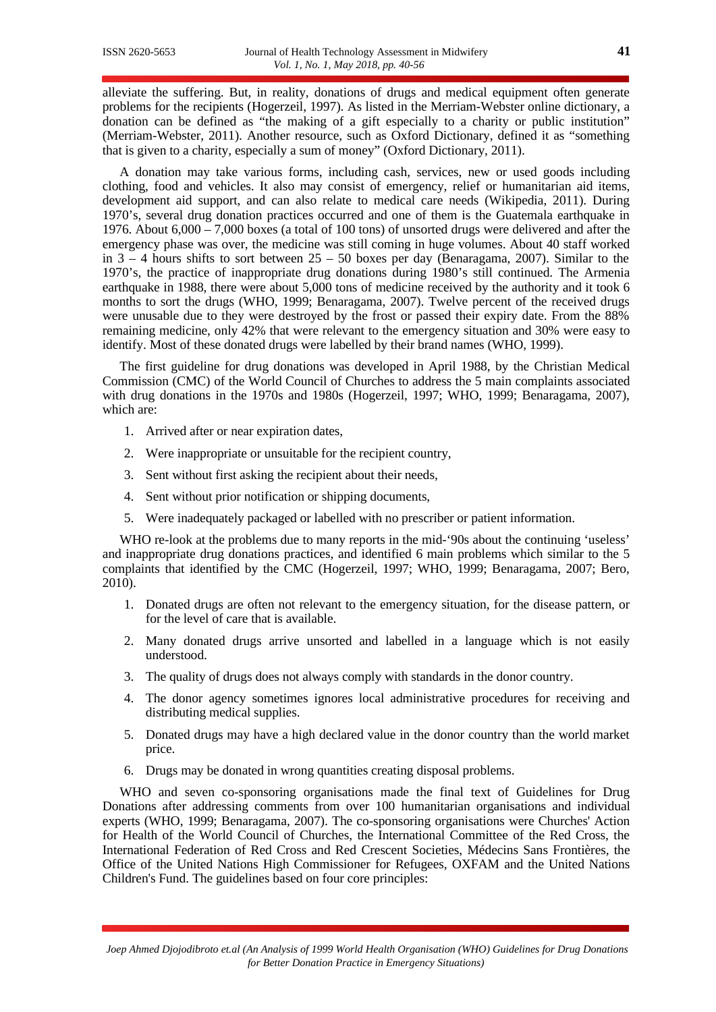alleviate the suffering. But, in reality, donations of drugs and medical equipment often generate problems for the recipients (Hogerzeil, 1997). As listed in the Merriam-Webster online dictionary, a donation can be defined as "the making of a gift especially to a charity or public institution" (Merriam-Webster, 2011). Another resource, such as Oxford Dictionary, defined it as "something that is given to a charity, especially a sum of money" (Oxford Dictionary, 2011).

A donation may take various forms, including cash, services, new or used goods including clothing, food and vehicles. It also may consist of emergency, relief or humanitarian aid items, development aid support, and can also relate to medical care needs (Wikipedia, 2011). During 1970's, several drug donation practices occurred and one of them is the Guatemala earthquake in 1976. About 6,000 – 7,000 boxes (a total of 100 tons) of unsorted drugs were delivered and after the emergency phase was over, the medicine was still coming in huge volumes. About 40 staff worked in  $3 - 4$  hours shifts to sort between  $25 - 50$  boxes per day (Benaragama, 2007). Similar to the 1970's, the practice of inappropriate drug donations during 1980's still continued. The Armenia earthquake in 1988, there were about 5,000 tons of medicine received by the authority and it took 6 months to sort the drugs (WHO, 1999; Benaragama, 2007). Twelve percent of the received drugs were unusable due to they were destroyed by the frost or passed their expiry date. From the 88% remaining medicine, only 42% that were relevant to the emergency situation and 30% were easy to identify. Most of these donated drugs were labelled by their brand names (WHO, 1999).

The first guideline for drug donations was developed in April 1988, by the Christian Medical Commission (CMC) of the World Council of Churches to address the 5 main complaints associated with drug donations in the 1970s and 1980s (Hogerzeil, 1997; WHO, 1999; Benaragama, 2007), which are:

- 1. Arrived after or near expiration dates,
- 2. Were inappropriate or unsuitable for the recipient country,
- 3. Sent without first asking the recipient about their needs,
- 4. Sent without prior notification or shipping documents,
- 5. Were inadequately packaged or labelled with no prescriber or patient information.

WHO re-look at the problems due to many reports in the mid-'90s about the continuing 'useless' and inappropriate drug donations practices, and identified 6 main problems which similar to the 5 complaints that identified by the CMC (Hogerzeil, 1997; WHO, 1999; Benaragama, 2007; Bero, 2010).

- 1. Donated drugs are often not relevant to the emergency situation, for the disease pattern, or for the level of care that is available.
- 2. Many donated drugs arrive unsorted and labelled in a language which is not easily understood.
- 3. The quality of drugs does not always comply with standards in the donor country.
- 4. The donor agency sometimes ignores local administrative procedures for receiving and distributing medical supplies.
- 5. Donated drugs may have a high declared value in the donor country than the world market price.
- 6. Drugs may be donated in wrong quantities creating disposal problems.

WHO and seven co-sponsoring organisations made the final text of Guidelines for Drug Donations after addressing comments from over 100 humanitarian organisations and individual experts (WHO, 1999; Benaragama, 2007). The co-sponsoring organisations were Churches' Action for Health of the World Council of Churches, the International Committee of the Red Cross, the International Federation of Red Cross and Red Crescent Societies, Médecins Sans Frontières, the Office of the United Nations High Commissioner for Refugees, OXFAM and the United Nations Children's Fund. The guidelines based on four core principles: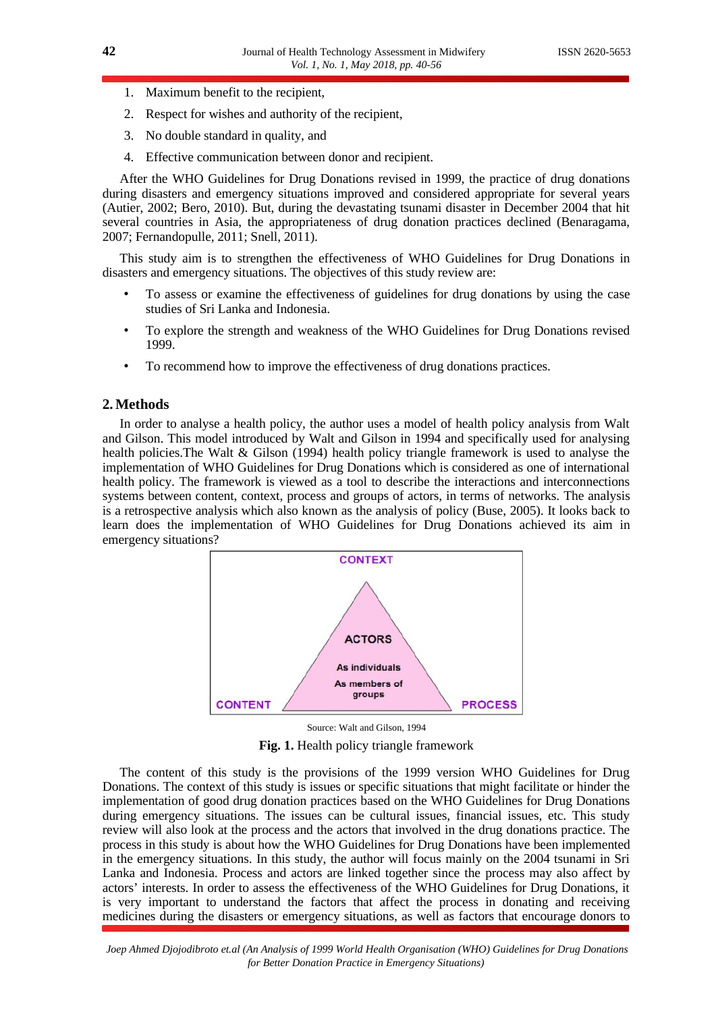- 1. Maximum benefit to the recipient,
- 2. Respect for wishes and authority of the recipient,
- 3. No double standard in quality, and
- 4. Effective communication between donor and recipient.

After the WHO Guidelines for Drug Donations revised in 1999, the practice of drug donations during disasters and emergency situations improved and considered appropriate for several years (Autier, 2002; Bero, 2010). But, during the devastating tsunami disaster in December 2004 that hit several countries in Asia, the appropriateness of drug donation practices declined (Benaragama, 2007; Fernandopulle, 2011; Snell, 2011).

This study aim is to strengthen the effectiveness of WHO Guidelines for Drug Donations in disasters and emergency situations. The objectives of this study review are:

- To assess or examine the effectiveness of guidelines for drug donations by using the case studies of Sri Lanka and Indonesia.
- To explore the strength and weakness of the WHO Guidelines for Drug Donations revised 1999.
- To recommend how to improve the effectiveness of drug donations practices.

#### **2.Methods**

In order to analyse a health policy, the author uses a model of health policy analysis from Walt and Gilson. This model introduced by Walt and Gilson in 1994 and specifically used for analysing health policies.The Walt & Gilson (1994) health policy triangle framework is used to analyse the implementation of WHO Guidelines for Drug Donations which is considered as one of international health policy. The framework is viewed as a tool to describe the interactions and interconnections systems between content, context, process and groups of actors, in terms of networks. The analysis is a retrospective analysis which also known as the analysis of policy (Buse, 2005). It looks back to learn does the implementation of WHO Guidelines for Drug Donations achieved its aim in emergency situations?



Source: Walt and Gilson, 1994

**Fig. 1.** Health policy triangle framework

The content of this study is the provisions of the 1999 version WHO Guidelines for Drug Donations. The context of this study is issues or specific situations that might facilitate or hinder the implementation of good drug donation practices based on the WHO Guidelines for Drug Donations during emergency situations. The issues can be cultural issues, financial issues, etc. This study review will also look at the process and the actors that involved in the drug donations practice. The process in this study is about how the WHO Guidelines for Drug Donations have been implemented in the emergency situations. In this study, the author will focus mainly on the 2004 tsunami in Sri Lanka and Indonesia. Process and actors are linked together since the process may also affect by actors' interests. In order to assess the effectiveness of the WHO Guidelines for Drug Donations, it is very important to understand the factors that affect the process in donating and receiving medicines during the disasters or emergency situations, as well as factors that encourage donors to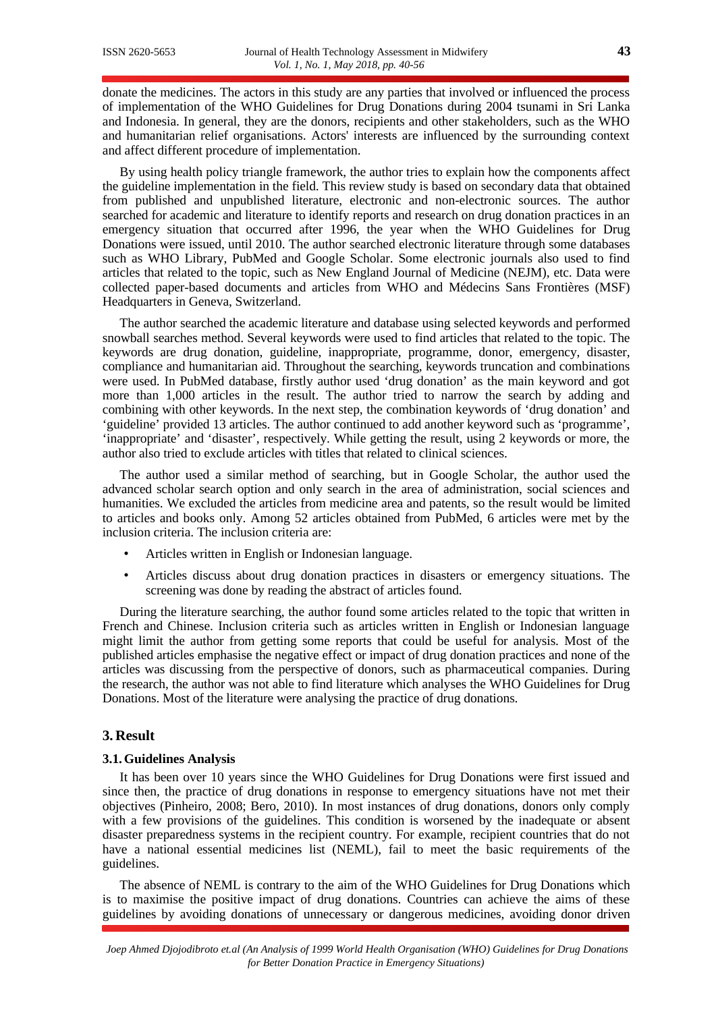donate the medicines. The actors in this study are any parties that involved or influenced the process of implementation of the WHO Guidelines for Drug Donations during 2004 tsunami in Sri Lanka and Indonesia. In general, they are the donors, recipients and other stakeholders, such as the WHO and humanitarian relief organisations. Actors' interests are influenced by the surrounding context and affect different procedure of implementation.

By using health policy triangle framework, the author tries to explain how the components affect the guideline implementation in the field. This review study is based on secondary data that obtained from published and unpublished literature, electronic and non-electronic sources. The author searched for academic and literature to identify reports and research on drug donation practices in an emergency situation that occurred after 1996, the year when the WHO Guidelines for Drug Donations were issued, until 2010. The author searched electronic literature through some databases such as WHO Library, PubMed and Google Scholar. Some electronic journals also used to find articles that related to the topic, such as New England Journal of Medicine (NEJM), etc. Data were collected paper-based documents and articles from WHO and Médecins Sans Frontières (MSF) Headquarters in Geneva, Switzerland.

The author searched the academic literature and database using selected keywords and performed snowball searches method. Several keywords were used to find articles that related to the topic. The keywords are drug donation, guideline, inappropriate, programme, donor, emergency, disaster, compliance and humanitarian aid. Throughout the searching, keywords truncation and combinations were used. In PubMed database, firstly author used 'drug donation' as the main keyword and got more than 1,000 articles in the result. The author tried to narrow the search by adding and combining with other keywords. In the next step, the combination keywords of 'drug donation' and 'guideline' provided 13 articles. The author continued to add another keyword such as 'programme', 'inappropriate' and 'disaster', respectively. While getting the result, using 2 keywords or more, the author also tried to exclude articles with titles that related to clinical sciences.

The author used a similar method of searching, but in Google Scholar, the author used the advanced scholar search option and only search in the area of administration, social sciences and humanities. We excluded the articles from medicine area and patents, so the result would be limited to articles and books only. Among 52 articles obtained from PubMed, 6 articles were met by the inclusion criteria. The inclusion criteria are:

- Articles written in English or Indonesian language.
- Articles discuss about drug donation practices in disasters or emergency situations. The screening was done by reading the abstract of articles found.

During the literature searching, the author found some articles related to the topic that written in French and Chinese. Inclusion criteria such as articles written in English or Indonesian language might limit the author from getting some reports that could be useful for analysis. Most of the published articles emphasise the negative effect or impact of drug donation practices and none of the articles was discussing from the perspective of donors, such as pharmaceutical companies. During the research, the author was not able to find literature which analyses the WHO Guidelines for Drug Donations. Most of the literature were analysing the practice of drug donations.

#### **3. Result**

#### **3.1.Guidelines Analysis**

It has been over 10 years since the WHO Guidelines for Drug Donations were first issued and since then, the practice of drug donations in response to emergency situations have not met their objectives (Pinheiro, 2008; Bero, 2010). In most instances of drug donations, donors only comply with a few provisions of the guidelines. This condition is worsened by the inadequate or absent disaster preparedness systems in the recipient country. For example, recipient countries that do not have a national essential medicines list (NEML), fail to meet the basic requirements of the guidelines.

The absence of NEML is contrary to the aim of the WHO Guidelines for Drug Donations which is to maximise the positive impact of drug donations. Countries can achieve the aims of these guidelines by avoiding donations of unnecessary or dangerous medicines, avoiding donor driven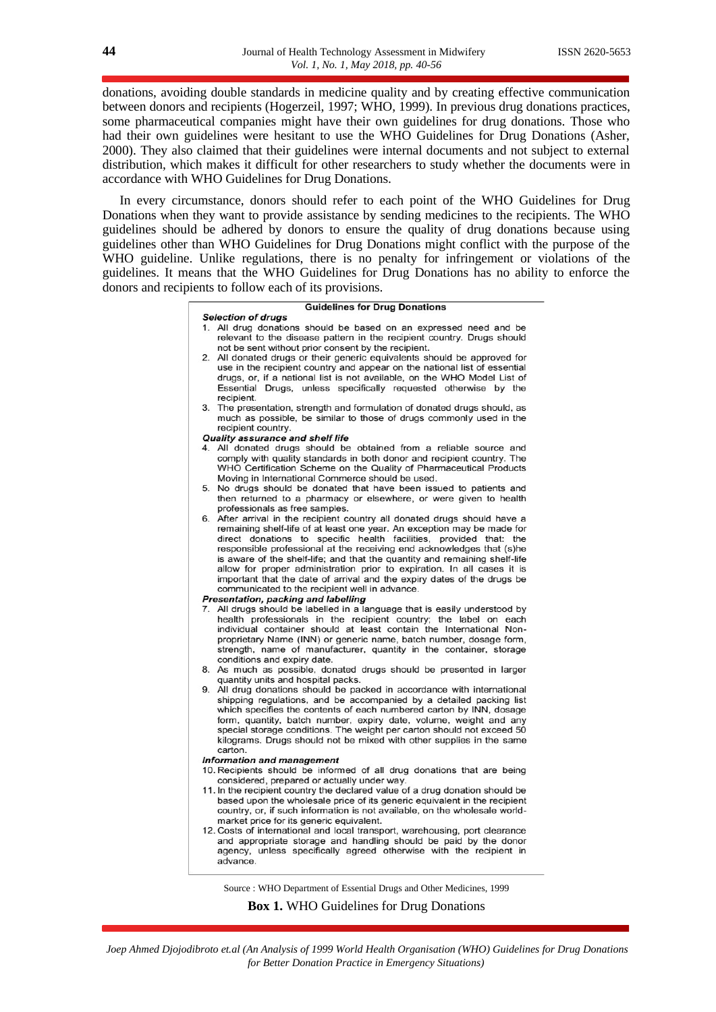donations, avoiding double standards in medicine quality and by creating effective communication between donors and recipients (Hogerzeil, 1997; WHO, 1999). In previous drug donations practices, some pharmaceutical companies might have their own guidelines for drug donations. Those who had their own guidelines were hesitant to use the WHO Guidelines for Drug Donations (Asher, 2000). They also claimed that their guidelines were internal documents and not subject to external distribution, which makes it difficult for other researchers to study whether the documents were in accordance with WHO Guidelines for Drug Donations.

In every circumstance, donors should refer to each point of the WHO Guidelines for Drug Donations when they want to provide assistance by sending medicines to the recipients. The WHO guidelines should be adhered by donors to ensure the quality of drug donations because using guidelines other than WHO Guidelines for Drug Donations might conflict with the purpose of the WHO guideline. Unlike regulations, there is no penalty for infringement or violations of the guidelines. It means that the WHO Guidelines for Drug Donations has no ability to enforce the donors and recipients to follow each of its provisions.

#### **Guidelines for Drug Donations**

#### **Selection of drugs**

- 1. All drug donations should be based on an expressed need and be relevant to the disease pattern in the recipient country. Drugs should not be sent without prior consent by the recipient.
- 2. All donated drugs or their generic equivalents should be approved for use in the recipient country and appear on the national list of essential drugs, or, if a national list is not available, on the WHO Model List of Essential Drugs, unless specifically requested otherwise by the recipient.
- 3. The presentation, strength and formulation of donated drugs should, as much as possible, be similar to those of drugs commonly used in the recipient country.
- Quality assurance and shelf life
- 4. All donated drugs should be obtained from a reliable source and comply with quality standards in both donor and recipient country. The WHO Certification Scheme on the Quality of Pharmaceutical Products Moving in International Commerce should be used.
- 5. No drugs should be donated that have been issued to patients and then returned to a pharmacy or elsewhere, or were given to health professionals as free samples.
- 6. After arrival in the recipient country all donated drugs should have a remaining shelf-life of at least one year. An exception may be made for direct donations to specific health facilities, provided that: the responsible professional at the receiving end acknowledges that (s)he is aware of the shelf-life; and that the quantity and remaining shelf-life allow for proper administration prior to expiration. In all cases it is important that the date of arrival and the expiry dates of the drugs be communicated to the recipient well in advance.
- Presentation, packing and labelling
- 7. All drugs should be labelled in a language that is easily understood by health professionals in the recipient country; the label on each individual container should at least contain the International Nonproprietary Name (INN) or generic name, batch number, dosage form, strength, name of manufacturer, quantity in the container, storage conditions and expiry date.
- 8. As much as possible, donated drugs should be presented in larger quantity units and hospital packs.
- 9. All drug donations should be packed in accordance with international shipping regulations, and be accompanied by a detailed packing list which specifies the contents of each numbered carton by INN, dosage form, quantity, batch number, expiry date, volume, weight and any special storage conditions. The weight per carton should not exceed 50 kilograms. Drugs should not be mixed with other supplies in the same carton.
- **Information and management**
- 10. Recipients should be informed of all drug donations that are being considered, prepared or actually under way.
- 11. In the recipient country the declared value of a drug donation should be based upon the wholesale price of its generic equivalent in the recipient country, or, if such information is not available, on the wholesale worldmarket price for its generic equivalent.
- 12. Costs of international and local transport, warehousing, port clearance and appropriate storage and handling should be paid by the donor agency, unless specifically agreed otherwise with the recipient in advance.

Source : WHO Department of Essential Drugs and Other Medicines, 1999

**Box 1.** WHO Guidelines for Drug Donations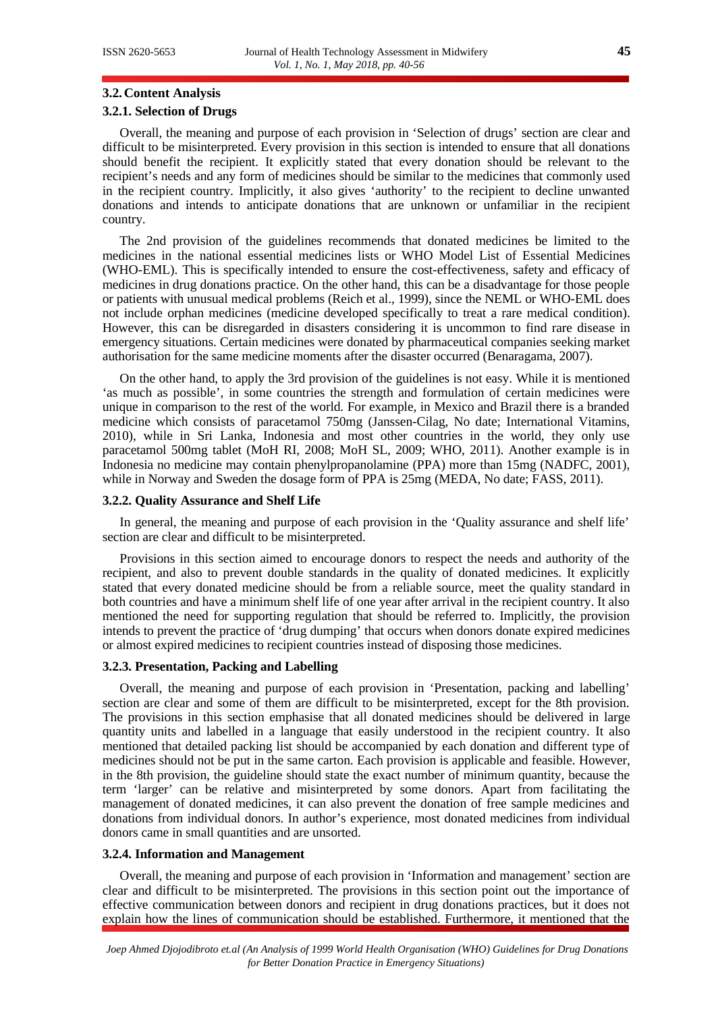#### **3.2.Content Analysis**

# **3.2.1. Selection of Drugs**

Overall, the meaning and purpose of each provision in 'Selection of drugs' section are clear and difficult to be misinterpreted. Every provision in this section is intended to ensure that all donations should benefit the recipient. It explicitly stated that every donation should be relevant to the recipient's needs and any form of medicines should be similar to the medicines that commonly used in the recipient country. Implicitly, it also gives 'authority' to the recipient to decline unwanted donations and intends to anticipate donations that are unknown or unfamiliar in the recipient country.

The 2nd provision of the guidelines recommends that donated medicines be limited to the medicines in the national essential medicines lists or WHO Model List of Essential Medicines (WHO-EML). This is specifically intended to ensure the cost-effectiveness, safety and efficacy of medicines in drug donations practice. On the other hand, this can be a disadvantage for those people or patients with unusual medical problems (Reich et al., 1999), since the NEML or WHO-EML does not include orphan medicines (medicine developed specifically to treat a rare medical condition). However, this can be disregarded in disasters considering it is uncommon to find rare disease in emergency situations. Certain medicines were donated by pharmaceutical companies seeking market authorisation for the same medicine moments after the disaster occurred (Benaragama, 2007).

On the other hand, to apply the 3rd provision of the guidelines is not easy. While it is mentioned 'as much as possible', in some countries the strength and formulation of certain medicines were unique in comparison to the rest of the world. For example, in Mexico and Brazil there is a branded medicine which consists of paracetamol 750mg (Janssen-Cilag, No date; International Vitamins, 2010), while in Sri Lanka, Indonesia and most other countries in the world, they only use paracetamol 500mg tablet (MoH RI, 2008; MoH SL, 2009; WHO, 2011). Another example is in Indonesia no medicine may contain phenylpropanolamine (PPA) more than 15mg (NADFC, 2001), while in Norway and Sweden the dosage form of PPA is 25mg (MEDA, No date; FASS, 2011).

#### **3.2.2. Quality Assurance and Shelf Life**

In general, the meaning and purpose of each provision in the 'Quality assurance and shelf life' section are clear and difficult to be misinterpreted.

Provisions in this section aimed to encourage donors to respect the needs and authority of the recipient, and also to prevent double standards in the quality of donated medicines. It explicitly stated that every donated medicine should be from a reliable source, meet the quality standard in both countries and have a minimum shelf life of one year after arrival in the recipient country. It also mentioned the need for supporting regulation that should be referred to. Implicitly, the provision intends to prevent the practice of 'drug dumping' that occurs when donors donate expired medicines or almost expired medicines to recipient countries instead of disposing those medicines.

#### **3.2.3. Presentation, Packing and Labelling**

Overall, the meaning and purpose of each provision in 'Presentation, packing and labelling' section are clear and some of them are difficult to be misinterpreted, except for the 8th provision. The provisions in this section emphasise that all donated medicines should be delivered in large quantity units and labelled in a language that easily understood in the recipient country. It also mentioned that detailed packing list should be accompanied by each donation and different type of medicines should not be put in the same carton. Each provision is applicable and feasible. However, in the 8th provision, the guideline should state the exact number of minimum quantity, because the term 'larger' can be relative and misinterpreted by some donors. Apart from facilitating the management of donated medicines, it can also prevent the donation of free sample medicines and donations from individual donors. In author's experience, most donated medicines from individual donors came in small quantities and are unsorted.

#### **3.2.4. Information and Management**

Overall, the meaning and purpose of each provision in 'Information and management' section are clear and difficult to be misinterpreted. The provisions in this section point out the importance of effective communication between donors and recipient in drug donations practices, but it does not explain how the lines of communication should be established. Furthermore, it mentioned that the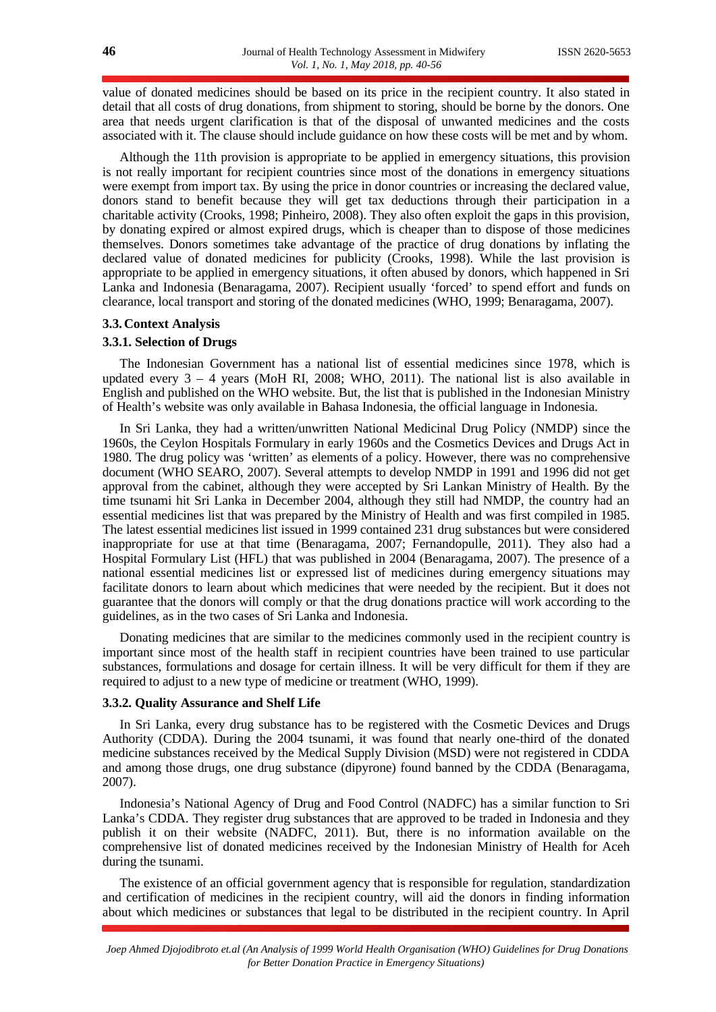value of donated medicines should be based on its price in the recipient country. It also stated in detail that all costs of drug donations, from shipment to storing, should be borne by the donors. One area that needs urgent clarification is that of the disposal of unwanted medicines and the costs associated with it. The clause should include guidance on how these costs will be met and by whom.

Although the 11th provision is appropriate to be applied in emergency situations, this provision is not really important for recipient countries since most of the donations in emergency situations were exempt from import tax. By using the price in donor countries or increasing the declared value, donors stand to benefit because they will get tax deductions through their participation in a charitable activity (Crooks, 1998; Pinheiro, 2008). They also often exploit the gaps in this provision, by donating expired or almost expired drugs, which is cheaper than to dispose of those medicines themselves. Donors sometimes take advantage of the practice of drug donations by inflating the declared value of donated medicines for publicity (Crooks, 1998). While the last provision is appropriate to be applied in emergency situations, it often abused by donors, which happened in Sri Lanka and Indonesia (Benaragama, 2007). Recipient usually 'forced' to spend effort and funds on clearance, local transport and storing of the donated medicines (WHO, 1999; Benaragama, 2007).

## **3.3.Context Analysis**

#### **3.3.1. Selection of Drugs**

The Indonesian Government has a national list of essential medicines since 1978, which is updated every  $3 - 4$  years (MoH RI, 2008; WHO, 2011). The national list is also available in English and published on the WHO website. But, the list that is published in the Indonesian Ministry of Health's website was only available in Bahasa Indonesia, the official language in Indonesia.

In Sri Lanka, they had a written/unwritten National Medicinal Drug Policy (NMDP) since the 1960s, the Ceylon Hospitals Formulary in early 1960s and the Cosmetics Devices and Drugs Act in 1980. The drug policy was 'written' as elements of a policy. However, there was no comprehensive document (WHO SEARO, 2007). Several attempts to develop NMDP in 1991 and 1996 did not get approval from the cabinet, although they were accepted by Sri Lankan Ministry of Health. By the time tsunami hit Sri Lanka in December 2004, although they still had NMDP, the country had an essential medicines list that was prepared by the Ministry of Health and was first compiled in 1985. The latest essential medicines list issued in 1999 contained 231 drug substances but were considered inappropriate for use at that time (Benaragama, 2007; Fernandopulle, 2011). They also had a Hospital Formulary List (HFL) that was published in 2004 (Benaragama, 2007). The presence of a national essential medicines list or expressed list of medicines during emergency situations may facilitate donors to learn about which medicines that were needed by the recipient. But it does not guarantee that the donors will comply or that the drug donations practice will work according to the guidelines, as in the two cases of Sri Lanka and Indonesia.

Donating medicines that are similar to the medicines commonly used in the recipient country is important since most of the health staff in recipient countries have been trained to use particular substances, formulations and dosage for certain illness. It will be very difficult for them if they are required to adjust to a new type of medicine or treatment (WHO, 1999).

#### **3.3.2. Quality Assurance and Shelf Life**

In Sri Lanka, every drug substance has to be registered with the Cosmetic Devices and Drugs Authority (CDDA). During the 2004 tsunami, it was found that nearly one-third of the donated medicine substances received by the Medical Supply Division (MSD) were not registered in CDDA and among those drugs, one drug substance (dipyrone) found banned by the CDDA (Benaragama, 2007).

Indonesia's National Agency of Drug and Food Control (NADFC) has a similar function to Sri Lanka's CDDA. They register drug substances that are approved to be traded in Indonesia and they publish it on their website (NADFC, 2011). But, there is no information available on the comprehensive list of donated medicines received by the Indonesian Ministry of Health for Aceh during the tsunami.

The existence of an official government agency that is responsible for regulation, standardization and certification of medicines in the recipient country, will aid the donors in finding information about which medicines or substances that legal to be distributed in the recipient country. In April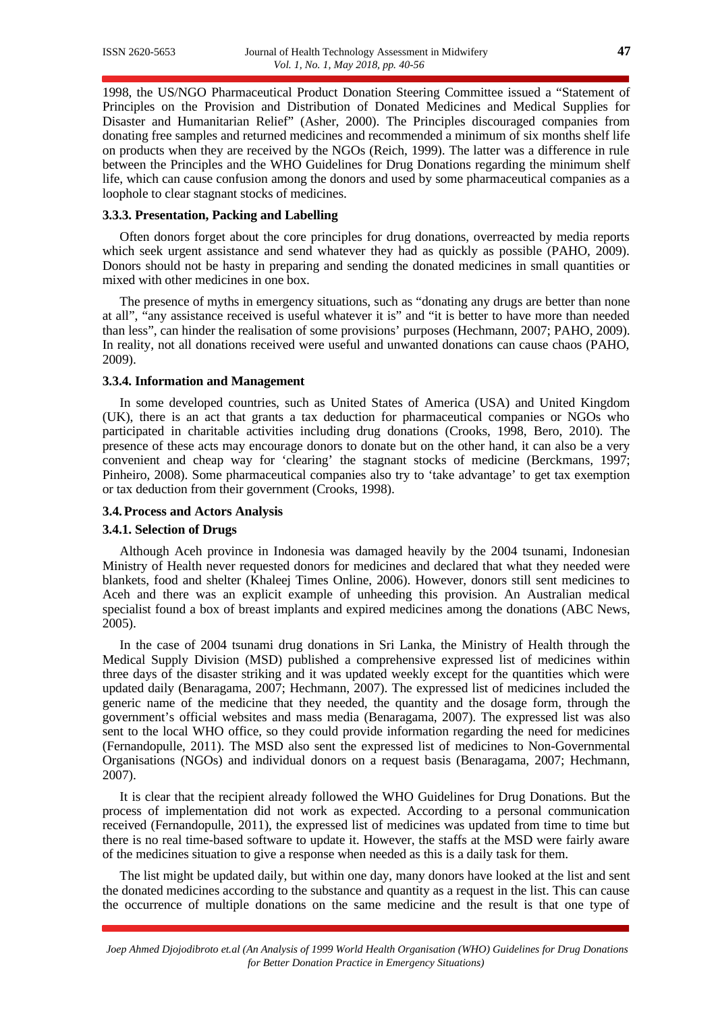1998, the US/NGO Pharmaceutical Product Donation Steering Committee issued a "Statement of Principles on the Provision and Distribution of Donated Medicines and Medical Supplies for Disaster and Humanitarian Relief" (Asher, 2000). The Principles discouraged companies from donating free samples and returned medicines and recommended a minimum of six months shelf life on products when they are received by the NGOs (Reich, 1999). The latter was a difference in rule between the Principles and the WHO Guidelines for Drug Donations regarding the minimum shelf life, which can cause confusion among the donors and used by some pharmaceutical companies as a loophole to clear stagnant stocks of medicines.

#### **3.3.3. Presentation, Packing and Labelling**

Often donors forget about the core principles for drug donations, overreacted by media reports which seek urgent assistance and send whatever they had as quickly as possible (PAHO, 2009). Donors should not be hasty in preparing and sending the donated medicines in small quantities or mixed with other medicines in one box.

The presence of myths in emergency situations, such as "donating any drugs are better than none at all", "any assistance received is useful whatever it is" and "it is better to have more than needed than less", can hinder the realisation of some provisions' purposes (Hechmann, 2007; PAHO, 2009). In reality, not all donations received were useful and unwanted donations can cause chaos (PAHO, 2009).

#### **3.3.4. Information and Management**

In some developed countries, such as United States of America (USA) and United Kingdom (UK), there is an act that grants a tax deduction for pharmaceutical companies or NGOs who participated in charitable activities including drug donations (Crooks, 1998, Bero, 2010). The presence of these acts may encourage donors to donate but on the other hand, it can also be a very convenient and cheap way for 'clearing' the stagnant stocks of medicine (Berckmans, 1997; Pinheiro, 2008). Some pharmaceutical companies also try to 'take advantage' to get tax exemption or tax deduction from their government (Crooks, 1998).

#### **3.4.Process and Actors Analysis**

#### **3.4.1. Selection of Drugs**

Although Aceh province in Indonesia was damaged heavily by the 2004 tsunami, Indonesian Ministry of Health never requested donors for medicines and declared that what they needed were blankets, food and shelter (Khaleej Times Online, 2006). However, donors still sent medicines to Aceh and there was an explicit example of unheeding this provision. An Australian medical specialist found a box of breast implants and expired medicines among the donations (ABC News, 2005).

In the case of 2004 tsunami drug donations in Sri Lanka, the Ministry of Health through the Medical Supply Division (MSD) published a comprehensive expressed list of medicines within three days of the disaster striking and it was updated weekly except for the quantities which were updated daily (Benaragama, 2007; Hechmann, 2007). The expressed list of medicines included the generic name of the medicine that they needed, the quantity and the dosage form, through the government's official websites and mass media (Benaragama, 2007). The expressed list was also sent to the local WHO office, so they could provide information regarding the need for medicines (Fernandopulle, 2011). The MSD also sent the expressed list of medicines to Non-Governmental Organisations (NGOs) and individual donors on a request basis (Benaragama, 2007; Hechmann, 2007).

It is clear that the recipient already followed the WHO Guidelines for Drug Donations. But the process of implementation did not work as expected. According to a personal communication received (Fernandopulle, 2011), the expressed list of medicines was updated from time to time but there is no real time-based software to update it. However, the staffs at the MSD were fairly aware of the medicines situation to give a response when needed as this is a daily task for them.

The list might be updated daily, but within one day, many donors have looked at the list and sent the donated medicines according to the substance and quantity as a request in the list. This can cause the occurrence of multiple donations on the same medicine and the result is that one type of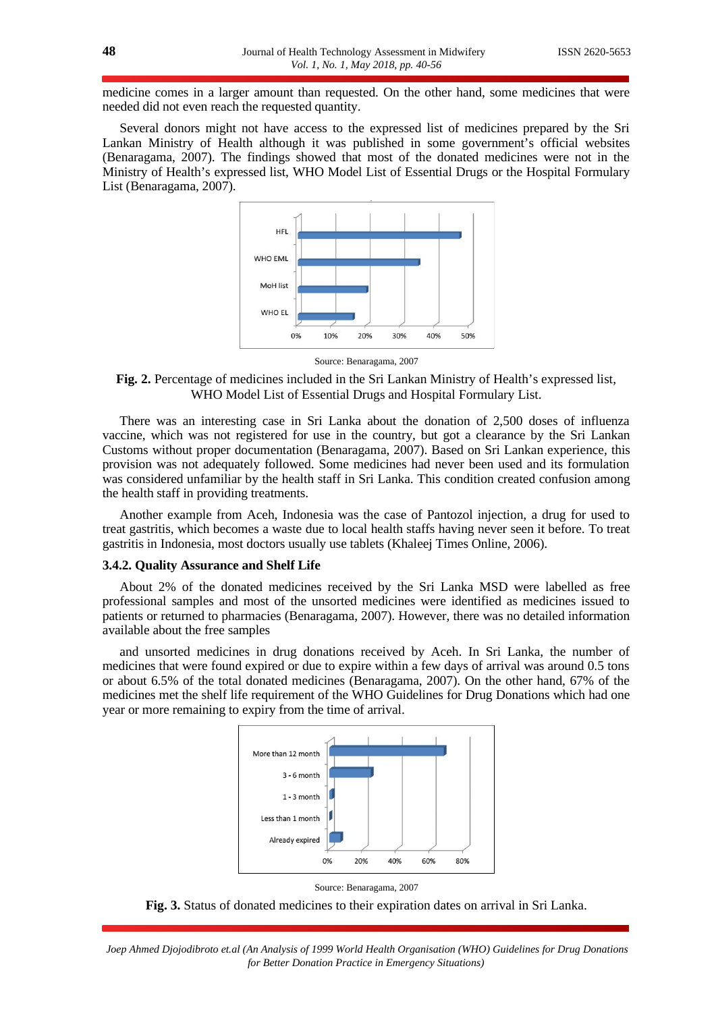medicine comes in a larger amount than requested. On the other hand, some medicines that were needed did not even reach the requested quantity.

Several donors might not have access to the expressed list of medicines prepared by the Sri Lankan Ministry of Health although it was published in some government's official websites (Benaragama, 2007). The findings showed that most of the donated medicines were not in the Ministry of Health's expressed list, WHO Model List of Essential Drugs or the Hospital Formulary List (Benaragama, 2007).



Source: Benaragama, 2007

**Fig. 2.** Percentage of medicines included in the Sri Lankan Ministry of Health's expressed list, WHO Model List of Essential Drugs and Hospital Formulary List.

There was an interesting case in Sri Lanka about the donation of 2,500 doses of influenza vaccine, which was not registered for use in the country, but got a clearance by the Sri Lankan Customs without proper documentation (Benaragama, 2007). Based on Sri Lankan experience, this provision was not adequately followed. Some medicines had never been used and its formulation was considered unfamiliar by the health staff in Sri Lanka. This condition created confusion among the health staff in providing treatments.

Another example from Aceh, Indonesia was the case of Pantozol injection, a drug for used to treat gastritis, which becomes a waste due to local health staffs having never seen it before. To treat gastritis in Indonesia, most doctors usually use tablets (Khaleej Times Online, 2006).

#### **3.4.2. Quality Assurance and Shelf Life**

About 2% of the donated medicines received by the Sri Lanka MSD were labelled as free professional samples and most of the unsorted medicines were identified as medicines issued to patients or returned to pharmacies (Benaragama, 2007). However, there was no detailed information available about the free samples

and unsorted medicines in drug donations received by Aceh. In Sri Lanka, the number of medicines that were found expired or due to expire within a few days of arrival was around 0.5 tons or about 6.5% of the total donated medicines (Benaragama, 2007). On the other hand, 67% of the medicines met the shelf life requirement of the WHO Guidelines for Drug Donations which had one year or more remaining to expiry from the time of arrival.





**Fig. 3.** Status of donated medicines to their expiration dates on arrival in Sri Lanka.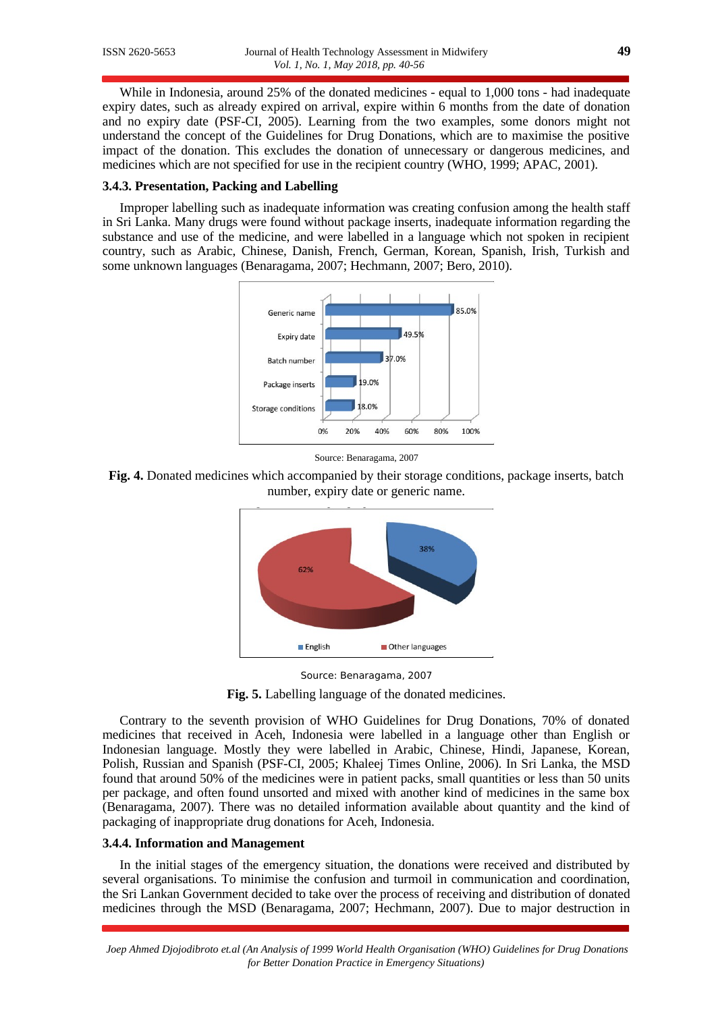While in Indonesia, around 25% of the donated medicines - equal to 1,000 tons - had inadequate expiry dates, such as already expired on arrival, expire within 6 months from the date of donation and no expiry date (PSF-CI, 2005). Learning from the two examples, some donors might not understand the concept of the Guidelines for Drug Donations, which are to maximise the positive impact of the donation. This excludes the donation of unnecessary or dangerous medicines, and medicines which are not specified for use in the recipient country (WHO, 1999; APAC, 2001).

# **3.4.3. Presentation, Packing and Labelling**

Improper labelling such as inadequate information was creating confusion among the health staff in Sri Lanka. Many drugs were found without package inserts, inadequate information regarding the substance and use of the medicine, and were labelled in a language which not spoken in recipient country, such as Arabic, Chinese, Danish, French, German, Korean, Spanish, Irish, Turkish and some unknown languages (Benaragama, 2007; Hechmann, 2007; Bero, 2010).





**Fig. 4.** Donated medicines which accompanied by their storage conditions, package inserts, batch number, expiry date or generic name.







Contrary to the seventh provision of WHO Guidelines for Drug Donations, 70% of donated medicines that received in Aceh, Indonesia were labelled in a language other than English or Indonesian language. Mostly they were labelled in Arabic, Chinese, Hindi, Japanese, Korean, Polish, Russian and Spanish (PSF-CI, 2005; Khaleej Times Online, 2006). In Sri Lanka, the MSD found that around 50% of the medicines were in patient packs, small quantities or less than 50 units per package, and often found unsorted and mixed with another kind of medicines in the same box (Benaragama, 2007). There was no detailed information available about quantity and the kind of packaging of inappropriate drug donations for Aceh, Indonesia.

#### **3.4.4. Information and Management**

In the initial stages of the emergency situation, the donations were received and distributed by several organisations. To minimise the confusion and turmoil in communication and coordination, the Sri Lankan Government decided to take over the process of receiving and distribution of donated medicines through the MSD (Benaragama, 2007; Hechmann, 2007). Due to major destruction in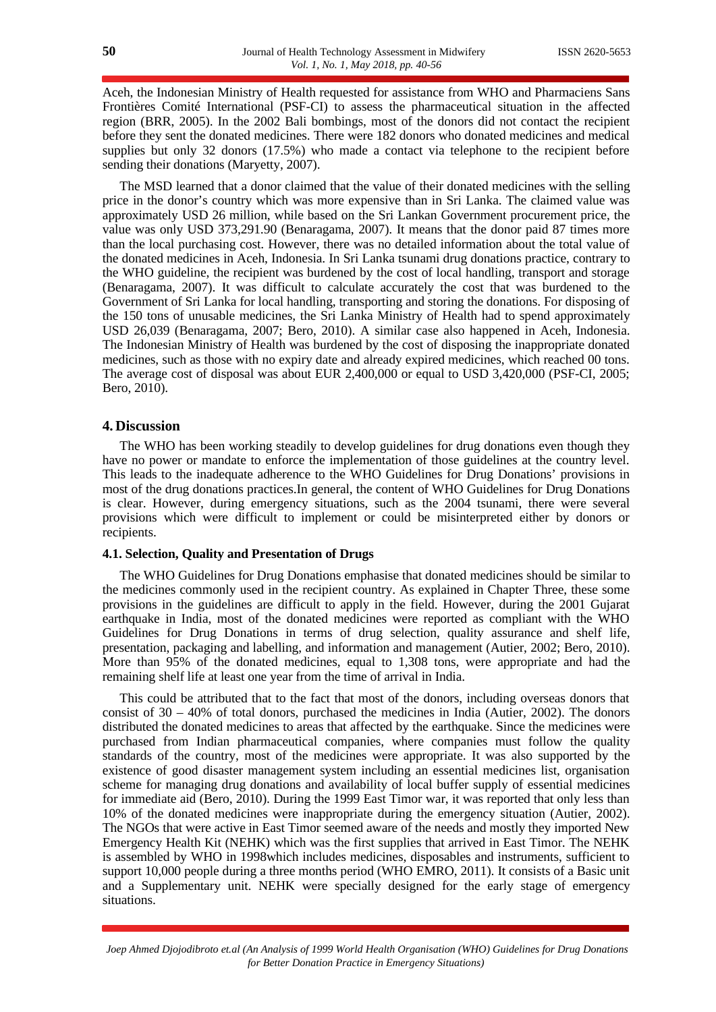Aceh, the Indonesian Ministry of Health requested for assistance from WHO and Pharmaciens Sans Frontières Comité International (PSF-CI) to assess the pharmaceutical situation in the affected region (BRR, 2005). In the 2002 Bali bombings, most of the donors did not contact the recipient before they sent the donated medicines. There were 182 donors who donated medicines and medical supplies but only 32 donors (17.5%) who made a contact via telephone to the recipient before sending their donations (Maryetty, 2007).

The MSD learned that a donor claimed that the value of their donated medicines with the selling price in the donor's country which was more expensive than in Sri Lanka. The claimed value was approximately USD 26 million, while based on the Sri Lankan Government procurement price, the value was only USD 373,291.90 (Benaragama, 2007). It means that the donor paid 87 times more than the local purchasing cost. However, there was no detailed information about the total value of the donated medicines in Aceh, Indonesia. In Sri Lanka tsunami drug donations practice, contrary to the WHO guideline, the recipient was burdened by the cost of local handling, transport and storage (Benaragama, 2007). It was difficult to calculate accurately the cost that was burdened to the Government of Sri Lanka for local handling, transporting and storing the donations. For disposing of the 150 tons of unusable medicines, the Sri Lanka Ministry of Health had to spend approximately USD 26,039 (Benaragama, 2007; Bero, 2010). A similar case also happened in Aceh, Indonesia. The Indonesian Ministry of Health was burdened by the cost of disposing the inappropriate donated medicines, such as those with no expiry date and already expired medicines, which reached 00 tons. The average cost of disposal was about EUR 2,400,000 or equal to USD 3,420,000 (PSF-CI, 2005; Bero, 2010).

### **4. Discussion**

The WHO has been working steadily to develop guidelines for drug donations even though they have no power or mandate to enforce the implementation of those guidelines at the country level. This leads to the inadequate adherence to the WHO Guidelines for Drug Donations' provisions in most of the drug donations practices.In general, the content of WHO Guidelines for Drug Donations is clear. However, during emergency situations, such as the 2004 tsunami, there were several provisions which were difficult to implement or could be misinterpreted either by donors or recipients.

#### **4.1. Selection, Quality and Presentation of Drugs**

The WHO Guidelines for Drug Donations emphasise that donated medicines should be similar to the medicines commonly used in the recipient country. As explained in Chapter Three, these some provisions in the guidelines are difficult to apply in the field. However, during the 2001 Gujarat earthquake in India, most of the donated medicines were reported as compliant with the WHO Guidelines for Drug Donations in terms of drug selection, quality assurance and shelf life, presentation, packaging and labelling, and information and management (Autier, 2002; Bero, 2010). More than 95% of the donated medicines, equal to 1,308 tons, were appropriate and had the remaining shelf life at least one year from the time of arrival in India.

This could be attributed that to the fact that most of the donors, including overseas donors that consist of  $30 - 40\%$  of total donors, purchased the medicines in India (Autier, 2002). The donors distributed the donated medicines to areas that affected by the earthquake. Since the medicines were purchased from Indian pharmaceutical companies, where companies must follow the quality standards of the country, most of the medicines were appropriate. It was also supported by the existence of good disaster management system including an essential medicines list, organisation scheme for managing drug donations and availability of local buffer supply of essential medicines for immediate aid (Bero, 2010). During the 1999 East Timor war, it was reported that only less than 10% of the donated medicines were inappropriate during the emergency situation (Autier, 2002). The NGOs that were active in East Timor seemed aware of the needs and mostly they imported New Emergency Health Kit (NEHK) which was the first supplies that arrived in East Timor. The NEHK is assembled by WHO in 1998which includes medicines, disposables and instruments, sufficient to support 10,000 people during a three months period (WHO EMRO, 2011). It consists of a Basic unit and a Supplementary unit. NEHK were specially designed for the early stage of emergency situations.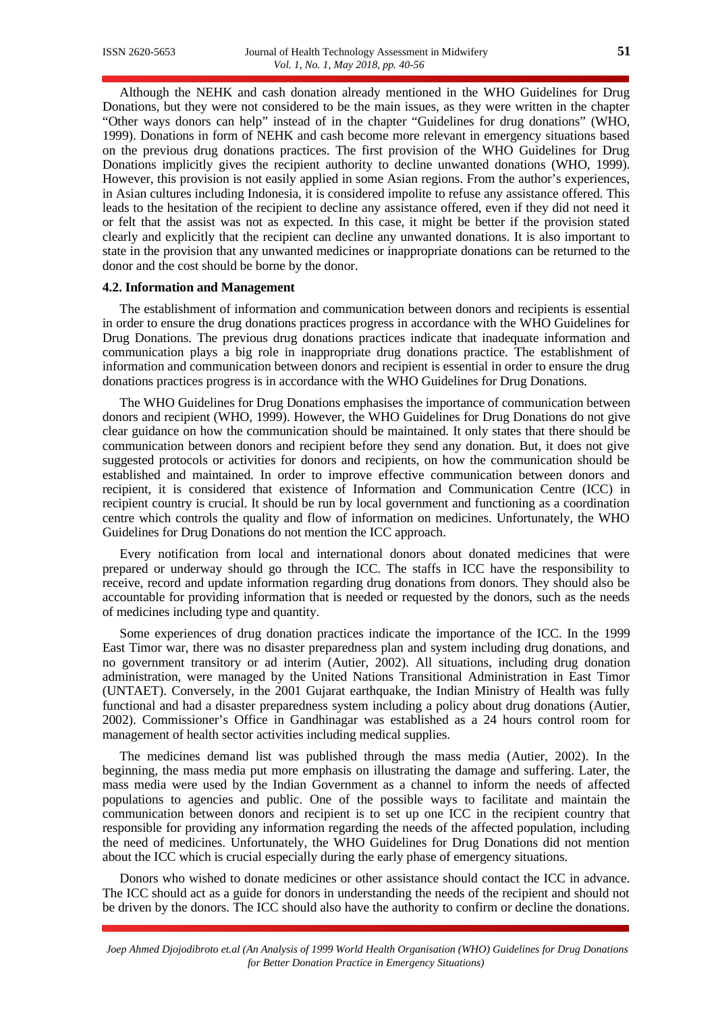Although the NEHK and cash donation already mentioned in the WHO Guidelines for Drug Donations, but they were not considered to be the main issues, as they were written in the chapter "Other ways donors can help" instead of in the chapter "Guidelines for drug donations" (WHO, 1999). Donations in form of NEHK and cash become more relevant in emergency situations based on the previous drug donations practices. The first provision of the WHO Guidelines for Drug Donations implicitly gives the recipient authority to decline unwanted donations (WHO, 1999). However, this provision is not easily applied in some Asian regions. From the author's experiences, in Asian cultures including Indonesia, it is considered impolite to refuse any assistance offered. This leads to the hesitation of the recipient to decline any assistance offered, even if they did not need it or felt that the assist was not as expected. In this case, it might be better if the provision stated clearly and explicitly that the recipient can decline any unwanted donations. It is also important to state in the provision that any unwanted medicines or inappropriate donations can be returned to the donor and the cost should be borne by the donor.

#### **4.2. Information and Management**

The establishment of information and communication between donors and recipients is essential in order to ensure the drug donations practices progress in accordance with the WHO Guidelines for Drug Donations. The previous drug donations practices indicate that inadequate information and communication plays a big role in inappropriate drug donations practice. The establishment of information and communication between donors and recipient is essential in order to ensure the drug donations practices progress is in accordance with the WHO Guidelines for Drug Donations.

The WHO Guidelines for Drug Donations emphasises the importance of communication between donors and recipient (WHO, 1999). However, the WHO Guidelines for Drug Donations do not give clear guidance on how the communication should be maintained. It only states that there should be communication between donors and recipient before they send any donation. But, it does not give suggested protocols or activities for donors and recipients, on how the communication should be established and maintained. In order to improve effective communication between donors and recipient, it is considered that existence of Information and Communication Centre (ICC) in recipient country is crucial. It should be run by local government and functioning as a coordination centre which controls the quality and flow of information on medicines. Unfortunately, the WHO Guidelines for Drug Donations do not mention the ICC approach.

Every notification from local and international donors about donated medicines that were prepared or underway should go through the ICC. The staffs in ICC have the responsibility to receive, record and update information regarding drug donations from donors. They should also be accountable for providing information that is needed or requested by the donors, such as the needs of medicines including type and quantity.

Some experiences of drug donation practices indicate the importance of the ICC. In the 1999 East Timor war, there was no disaster preparedness plan and system including drug donations, and no government transitory or ad interim (Autier, 2002). All situations, including drug donation administration, were managed by the United Nations Transitional Administration in East Timor (UNTAET). Conversely, in the 2001 Gujarat earthquake, the Indian Ministry of Health was fully functional and had a disaster preparedness system including a policy about drug donations (Autier, 2002). Commissioner's Office in Gandhinagar was established as a 24 hours control room for management of health sector activities including medical supplies.

The medicines demand list was published through the mass media (Autier, 2002). In the beginning, the mass media put more emphasis on illustrating the damage and suffering. Later, the mass media were used by the Indian Government as a channel to inform the needs of affected populations to agencies and public. One of the possible ways to facilitate and maintain the communication between donors and recipient is to set up one ICC in the recipient country that responsible for providing any information regarding the needs of the affected population, including the need of medicines. Unfortunately, the WHO Guidelines for Drug Donations did not mention about the ICC which is crucial especially during the early phase of emergency situations.

Donors who wished to donate medicines or other assistance should contact the ICC in advance. The ICC should act as a guide for donors in understanding the needs of the recipient and should not be driven by the donors. The ICC should also have the authority to confirm or decline the donations.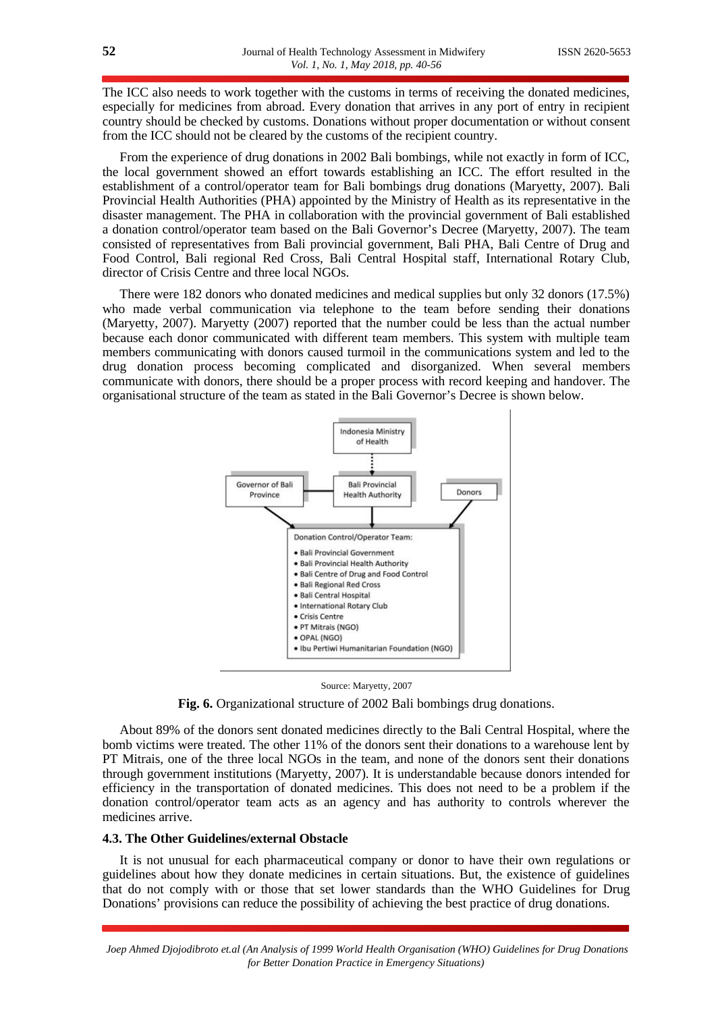The ICC also needs to work together with the customs in terms of receiving the donated medicines, especially for medicines from abroad. Every donation that arrives in any port of entry in recipient country should be checked by customs. Donations without proper documentation or without consent from the ICC should not be cleared by the customs of the recipient country.

From the experience of drug donations in 2002 Bali bombings, while not exactly in form of ICC, the local government showed an effort towards establishing an ICC. The effort resulted in the establishment of a control/operator team for Bali bombings drug donations (Maryetty, 2007). Bali Provincial Health Authorities (PHA) appointed by the Ministry of Health as its representative in the disaster management. The PHA in collaboration with the provincial government of Bali established a donation control/operator team based on the Bali Governor's Decree (Maryetty, 2007). The team consisted of representatives from Bali provincial government, Bali PHA, Bali Centre of Drug and Food Control, Bali regional Red Cross, Bali Central Hospital staff, International Rotary Club, director of Crisis Centre and three local NGOs.

There were 182 donors who donated medicines and medical supplies but only 32 donors (17.5%) who made verbal communication via telephone to the team before sending their donations (Maryetty, 2007). Maryetty (2007) reported that the number could be less than the actual number because each donor communicated with different team members. This system with multiple team members communicating with donors caused turmoil in the communications system and led to the drug donation process becoming complicated and disorganized. When several members communicate with donors, there should be a proper process with record keeping and handover. The organisational structure of the team as stated in the Bali Governor's Decree is shown below.



#### Source: Maryetty, 2007

**Fig. 6.** Organizational structure of 2002 Bali bombings drug donations.

About 89% of the donors sent donated medicines directly to the Bali Central Hospital, where the bomb victims were treated. The other 11% of the donors sent their donations to a warehouse lent by PT Mitrais, one of the three local NGOs in the team, and none of the donors sent their donations through government institutions (Maryetty, 2007). It is understandable because donors intended for efficiency in the transportation of donated medicines. This does not need to be a problem if the donation control/operator team acts as an agency and has authority to controls wherever the medicines arrive.

#### **4.3. The Other Guidelines/external Obstacle**

It is not unusual for each pharmaceutical company or donor to have their own regulations or guidelines about how they donate medicines in certain situations. But, the existence of guidelines that do not comply with or those that set lower standards than the WHO Guidelines for Drug Donations' provisions can reduce the possibility of achieving the best practice of drug donations.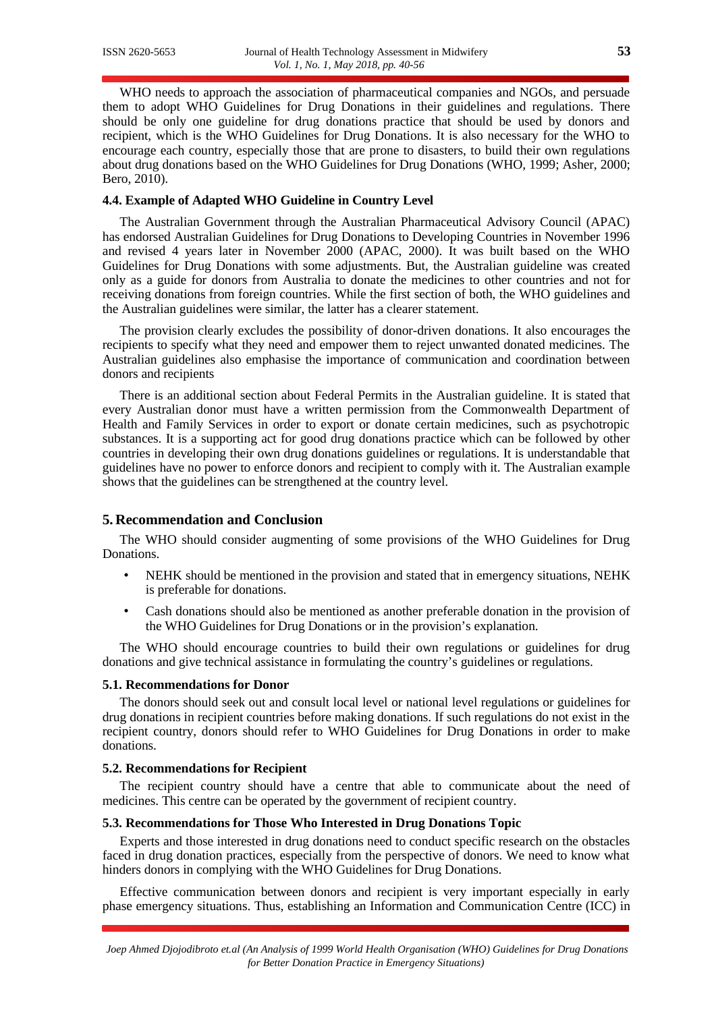WHO needs to approach the association of pharmaceutical companies and NGOs, and persuade them to adopt WHO Guidelines for Drug Donations in their guidelines and regulations. There should be only one guideline for drug donations practice that should be used by donors and recipient, which is the WHO Guidelines for Drug Donations. It is also necessary for the WHO to encourage each country, especially those that are prone to disasters, to build their own regulations about drug donations based on the WHO Guidelines for Drug Donations (WHO, 1999; Asher, 2000; Bero, 2010).

#### **4.4. Example of Adapted WHO Guideline in Country Level**

The Australian Government through the Australian Pharmaceutical Advisory Council (APAC) has endorsed Australian Guidelines for Drug Donations to Developing Countries in November 1996 and revised 4 years later in November 2000 (APAC, 2000). It was built based on the WHO Guidelines for Drug Donations with some adjustments. But, the Australian guideline was created only as a guide for donors from Australia to donate the medicines to other countries and not for receiving donations from foreign countries. While the first section of both, the WHO guidelines and the Australian guidelines were similar, the latter has a clearer statement.

The provision clearly excludes the possibility of donor-driven donations. It also encourages the recipients to specify what they need and empower them to reject unwanted donated medicines. The Australian guidelines also emphasise the importance of communication and coordination between donors and recipients

There is an additional section about Federal Permits in the Australian guideline. It is stated that every Australian donor must have a written permission from the Commonwealth Department of Health and Family Services in order to export or donate certain medicines, such as psychotropic substances. It is a supporting act for good drug donations practice which can be followed by other countries in developing their own drug donations guidelines or regulations. It is understandable that guidelines have no power to enforce donors and recipient to comply with it. The Australian example shows that the guidelines can be strengthened at the country level.

## **5. Recommendation and Conclusion**

The WHO should consider augmenting of some provisions of the WHO Guidelines for Drug Donations.

- NEHK should be mentioned in the provision and stated that in emergency situations, NEHK is preferable for donations.
- Cash donations should also be mentioned as another preferable donation in the provision of the WHO Guidelines for Drug Donations or in the provision's explanation.

The WHO should encourage countries to build their own regulations or guidelines for drug donations and give technical assistance in formulating the country's guidelines or regulations.

#### **5.1. Recommendations for Donor**

The donors should seek out and consult local level or national level regulations or guidelines for drug donations in recipient countries before making donations. If such regulations do not exist in the recipient country, donors should refer to WHO Guidelines for Drug Donations in order to make donations.

#### **5.2. Recommendations for Recipient**

The recipient country should have a centre that able to communicate about the need of medicines. This centre can be operated by the government of recipient country.

#### **5.3. Recommendations for Those Who Interested in Drug Donations Topic**

Experts and those interested in drug donations need to conduct specific research on the obstacles faced in drug donation practices, especially from the perspective of donors. We need to know what hinders donors in complying with the WHO Guidelines for Drug Donations.

Effective communication between donors and recipient is very important especially in early phase emergency situations. Thus, establishing an Information and Communication Centre (ICC) in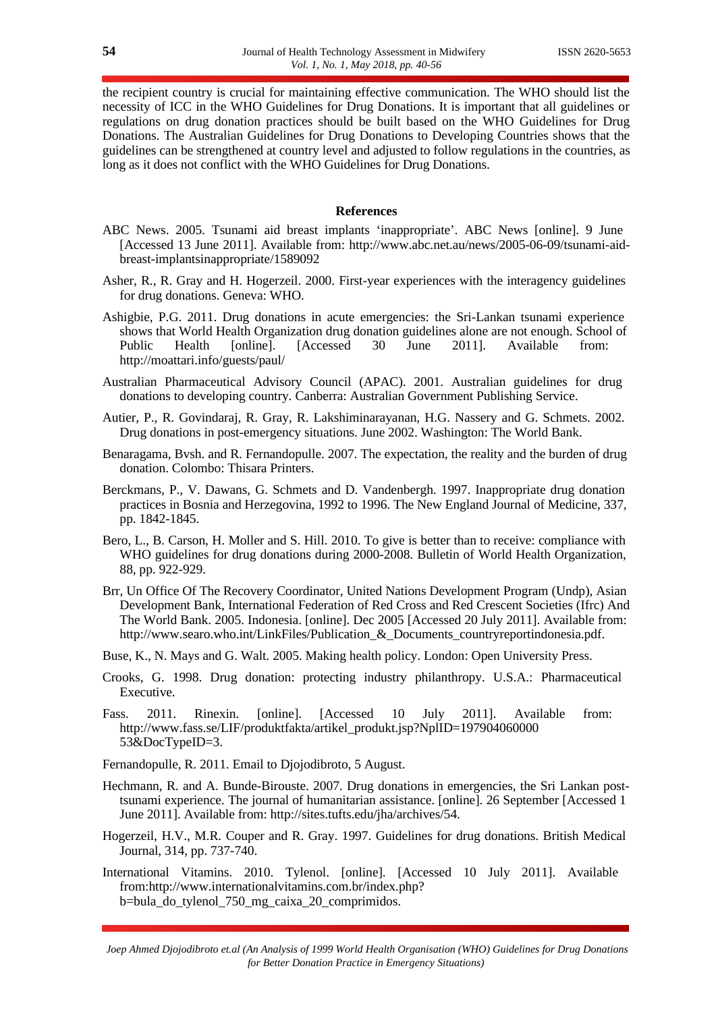the recipient country is crucial for maintaining effective communication. The WHO should list the necessity of ICC in the WHO Guidelines for Drug Donations. It is important that all guidelines or regulations on drug donation practices should be built based on the WHO Guidelines for Drug Donations. The Australian Guidelines for Drug Donations to Developing Countries shows that the guidelines can be strengthened at country level and adjusted to follow regulations in the countries, as long as it does not conflict with the WHO Guidelines for Drug Donations.

#### **References**

- ABC News. 2005. Tsunami aid breast implants 'inappropriate'. ABC News [online]. 9 June [Accessed 13 June 2011]. Available from: http://www.abc.net.au/news/2005-06-09/tsunami-aidbreast-implantsinappropriate/1589092
- Asher, R., R. Gray and H. Hogerzeil. 2000. First-year experiences with the interagency guidelines for drug donations. Geneva: WHO.
- Ashigbie, P.G. 2011. Drug donations in acute emergencies: the Sri-Lankan tsunami experience shows that World Health Organization drug donation guidelines alone are not enough. School of Public Health [online]. [Accessed 30 June 2011]. Available from: http://moattari.info/guests/paul/
- Australian Pharmaceutical Advisory Council (APAC). 2001. Australian guidelines for drug donations to developing country. Canberra: Australian Government Publishing Service.
- Autier, P., R. Govindaraj, R. Gray, R. Lakshiminarayanan, H.G. Nassery and G. Schmets. 2002. Drug donations in post-emergency situations. June 2002. Washington: The World Bank.
- Benaragama, Bvsh. and R. Fernandopulle. 2007. The expectation, the reality and the burden of drug donation. Colombo: Thisara Printers.
- Berckmans, P., V. Dawans, G. Schmets and D. Vandenbergh. 1997. Inappropriate drug donation practices in Bosnia and Herzegovina, 1992 to 1996. The New England Journal of Medicine, 337, pp. 1842-1845.
- Bero, L., B. Carson, H. Moller and S. Hill. 2010. To give is better than to receive: compliance with WHO guidelines for drug donations during 2000-2008. Bulletin of World Health Organization, 88, pp. 922-929.
- Brr, Un Office Of The Recovery Coordinator, United Nations Development Program (Undp), Asian Development Bank, International Federation of Red Cross and Red Crescent Societies (Ifrc) And The World Bank. 2005. Indonesia. [online]. Dec 2005 [Accessed 20 July 2011]. Available from: http://www.searo.who.int/LinkFiles/Publication\_&\_Documents\_countryreportindonesia.pdf.
- Buse, K., N. Mays and G. Walt. 2005. Making health policy. London: Open University Press.
- Crooks, G. 1998. Drug donation: protecting industry philanthropy. U.S.A.: Pharmaceutical Executive.
- Fass. 2011. Rinexin. [online]. [Accessed 10 July 2011]. Available from: http://www.fass.se/LIF/produktfakta/artikel\_produkt.jsp?NplID=197904060000 53&DocTypeID=3.

Fernandopulle, R. 2011. Email to Djojodibroto, 5 August.

- Hechmann, R. and A. Bunde-Birouste. 2007. Drug donations in emergencies, the Sri Lankan posttsunami experience. The journal of humanitarian assistance. [online]. 26 September [Accessed 1 June 2011]. Available from: http://sites.tufts.edu/jha/archives/54.
- Hogerzeil, H.V., M.R. Couper and R. Gray. 1997. Guidelines for drug donations. British Medical Journal, 314, pp. 737-740.
- International Vitamins. 2010. Tylenol. [online]. [Accessed 10 July 2011]. Available from:http://www.internationalvitamins.com.br/index.php? b=bula\_do\_tylenol\_750\_mg\_caixa\_20\_comprimidos.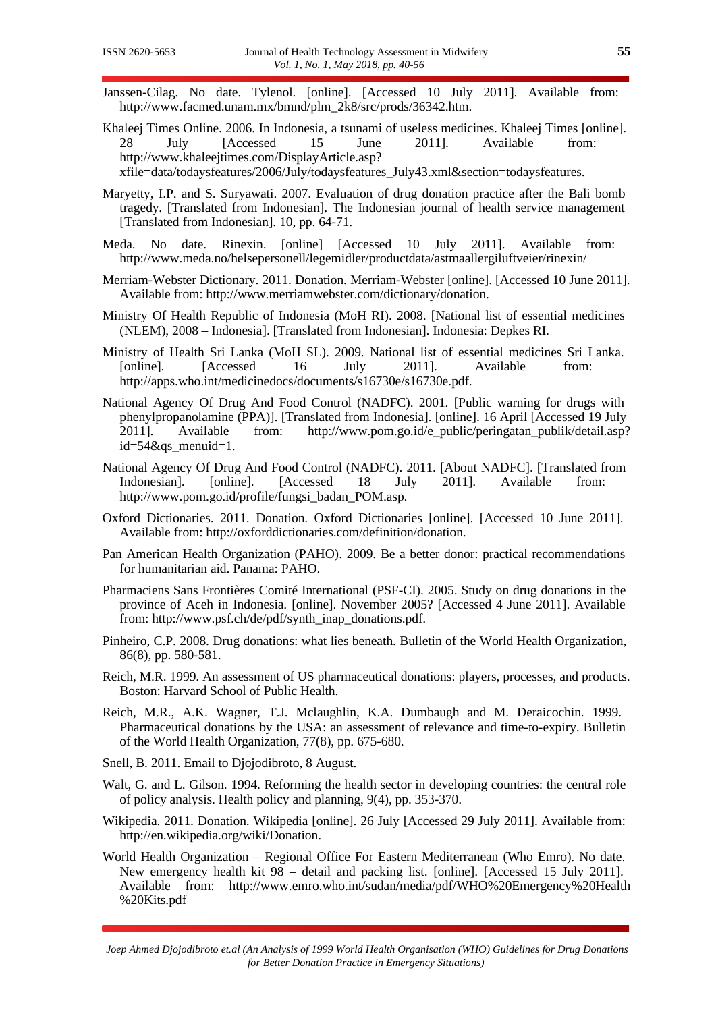- Janssen-Cilag. No date. Tylenol. [online]. [Accessed 10 July 2011]. Available from: http://www.facmed.unam.mx/bmnd/plm\_2k8/src/prods/36342.htm.
- Khaleej Times Online. 2006. In Indonesia, a tsunami of useless medicines. Khaleej Times [online].<br>28 July [Accessed 15 June 2011]. Available from: 28 July [Accessed 15 June 2011]. Available from: http://www.khaleejtimes.com/DisplayArticle.asp?

xfile=data/todaysfeatures/2006/July/todaysfeatures\_July43.xml&section=todaysfeatures.

- Maryetty, I.P. and S. Suryawati. 2007. Evaluation of drug donation practice after the Bali bomb tragedy. [Translated from Indonesian]. The Indonesian journal of health service management [Translated from Indonesian]. 10, pp. 64-71.
- Meda. No date. Rinexin. [online] [Accessed 10 July 2011]. Available from: http://www.meda.no/helsepersonell/legemidler/productdata/astmaallergiluftveier/rinexin/
- Merriam-Webster Dictionary. 2011. Donation. Merriam-Webster [online]. [Accessed 10 June 2011]. Available from: http://www.merriamwebster.com/dictionary/donation.
- Ministry Of Health Republic of Indonesia (MoH RI). 2008. [National list of essential medicines (NLEM), 2008 – Indonesia]. [Translated from Indonesian]. Indonesia: Depkes RI.
- Ministry of Health Sri Lanka (MoH SL). 2009. National list of essential medicines Sri Lanka. [online]. [Accessed 16 July 2011]. Available from: http://apps.who.int/medicinedocs/documents/s16730e/s16730e.pdf.
- National Agency Of Drug And Food Control (NADFC). 2001. [Public warning for drugs with phenylpropanolamine (PPA)]. [Translated from Indonesia]. [online]. 16 April [Accessed 19 July 2011]. Available from: http://www.pom.go.id/e\_public/peringatan\_publik/detail.asp? id=54&qs\_menuid=1.
- National Agency Of Drug And Food Control (NADFC). 2011. [About NADFC]. [Translated from Indonesian]. [online]. [Accessed 18 July 2011]. Available from: http://www.pom.go.id/profile/fungsi\_badan\_POM.asp.
- Oxford Dictionaries. 2011. Donation. Oxford Dictionaries [online]. [Accessed 10 June 2011]. Available from: http://oxforddictionaries.com/definition/donation.
- Pan American Health Organization (PAHO). 2009. Be a better donor: practical recommendations for humanitarian aid. Panama: PAHO.
- Pharmaciens Sans Frontières Comité International (PSF-CI). 2005. Study on drug donations in the province of Aceh in Indonesia. [online]. November 2005? [Accessed 4 June 2011]. Available from: http://www.psf.ch/de/pdf/synth\_inap\_donations.pdf.
- Pinheiro, C.P. 2008. Drug donations: what lies beneath. Bulletin of the World Health Organization, 86(8), pp. 580-581.
- Reich, M.R. 1999. An assessment of US pharmaceutical donations: players, processes, and products. Boston: Harvard School of Public Health.
- Reich, M.R., A.K. Wagner, T.J. Mclaughlin, K.A. Dumbaugh and M. Deraicochin. 1999. Pharmaceutical donations by the USA: an assessment of relevance and time-to-expiry. Bulletin of the World Health Organization, 77(8), pp. 675-680.
- Snell, B. 2011. Email to Djojodibroto, 8 August.
- Walt, G. and L. Gilson. 1994. Reforming the health sector in developing countries: the central role of policy analysis. Health policy and planning, 9(4), pp. 353-370.
- Wikipedia. 2011. Donation. Wikipedia [online]. 26 July [Accessed 29 July 2011]. Available from: http://en.wikipedia.org/wiki/Donation.
- World Health Organization Regional Office For Eastern Mediterranean (Who Emro). No date. New emergency health kit 98 – detail and packing list. [online]. [Accessed 15 July 2011]. Available from: http://www.emro.who.int/sudan/media/pdf/WHO%20Emergency%20Health %20Kits.pdf